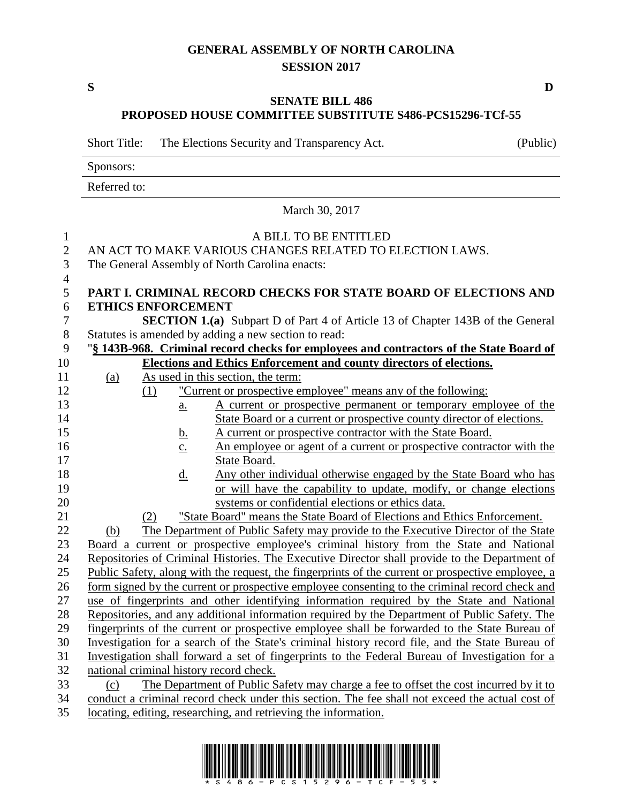### **GENERAL ASSEMBLY OF NORTH CAROLINA SESSION 2017**

**S D**

#### **SENATE BILL 486 PROPOSED HOUSE COMMITTEE SUBSTITUTE S486-PCS15296-TCf-55**

Short Title: The Elections Security and Transparency Act. (Public)

Sponsors:

Referred to:

March 30, 2017

| $\mathbf{1}$     | A BILL TO BE ENTITLED                                                                             |     |                   |                                                                                               |  |
|------------------|---------------------------------------------------------------------------------------------------|-----|-------------------|-----------------------------------------------------------------------------------------------|--|
| $\overline{c}$   | AN ACT TO MAKE VARIOUS CHANGES RELATED TO ELECTION LAWS.                                          |     |                   |                                                                                               |  |
| 3                | The General Assembly of North Carolina enacts:                                                    |     |                   |                                                                                               |  |
| $\overline{4}$   |                                                                                                   |     |                   |                                                                                               |  |
| 5                |                                                                                                   |     |                   | PART I. CRIMINAL RECORD CHECKS FOR STATE BOARD OF ELECTIONS AND                               |  |
| 6                | <b>ETHICS ENFORCEMENT</b>                                                                         |     |                   |                                                                                               |  |
| $\boldsymbol{7}$ |                                                                                                   |     |                   | <b>SECTION 1.(a)</b> Subpart D of Part 4 of Article 13 of Chapter 143B of the General         |  |
| 8                |                                                                                                   |     |                   | Statutes is amended by adding a new section to read:                                          |  |
| 9                |                                                                                                   |     |                   | "§ 143B-968. Criminal record checks for employees and contractors of the State Board of       |  |
| 10               |                                                                                                   |     |                   | Elections and Ethics Enforcement and county directors of elections.                           |  |
| 11               | (a)                                                                                               |     |                   | As used in this section, the term:                                                            |  |
| 12               |                                                                                                   | (1) |                   | "Current or prospective employee" means any of the following:                                 |  |
| 13               |                                                                                                   |     | a.                | A current or prospective permanent or temporary employee of the                               |  |
| 14               |                                                                                                   |     |                   | State Board or a current or prospective county director of elections.                         |  |
| 15               |                                                                                                   |     | <u>b.</u>         | A current or prospective contractor with the State Board.                                     |  |
| 16               |                                                                                                   |     | $\underline{c}$ . | An employee or agent of a current or prospective contractor with the                          |  |
| 17               |                                                                                                   |     |                   | State Board.                                                                                  |  |
| 18               |                                                                                                   |     | $\underline{d}$ . | Any other individual otherwise engaged by the State Board who has                             |  |
| 19               | or will have the capability to update, modify, or change elections                                |     |                   |                                                                                               |  |
| 20               | systems or confidential elections or ethics data.                                                 |     |                   |                                                                                               |  |
| 21               |                                                                                                   | (2) |                   | "State Board" means the State Board of Elections and Ethics Enforcement.                      |  |
| 22               | (b)                                                                                               |     |                   | The Department of Public Safety may provide to the Executive Director of the State            |  |
| 23               |                                                                                                   |     |                   | Board a current or prospective employee's criminal history from the State and National        |  |
| 24               |                                                                                                   |     |                   | Repositories of Criminal Histories. The Executive Director shall provide to the Department of |  |
| 25               | Public Safety, along with the request, the fingerprints of the current or prospective employee, a |     |                   |                                                                                               |  |
| 26               | form signed by the current or prospective employee consenting to the criminal record check and    |     |                   |                                                                                               |  |
| $27\,$           | use of fingerprints and other identifying information required by the State and National          |     |                   |                                                                                               |  |
| 28               | Repositories, and any additional information required by the Department of Public Safety. The     |     |                   |                                                                                               |  |
| 29               | fingerprints of the current or prospective employee shall be forwarded to the State Bureau of     |     |                   |                                                                                               |  |
| 30               | Investigation for a search of the State's criminal history record file, and the State Bureau of   |     |                   |                                                                                               |  |
| 31               | Investigation shall forward a set of fingerprints to the Federal Bureau of Investigation for a    |     |                   |                                                                                               |  |
| 32               | national criminal history record check.                                                           |     |                   |                                                                                               |  |
| 33               | (c)                                                                                               |     |                   | The Department of Public Safety may charge a fee to offset the cost incurred by it to         |  |
| 34               | conduct a criminal record check under this section. The fee shall not exceed the actual cost of   |     |                   |                                                                                               |  |
| 35               |                                                                                                   |     |                   | locating, editing, researching, and retrieving the information.                               |  |

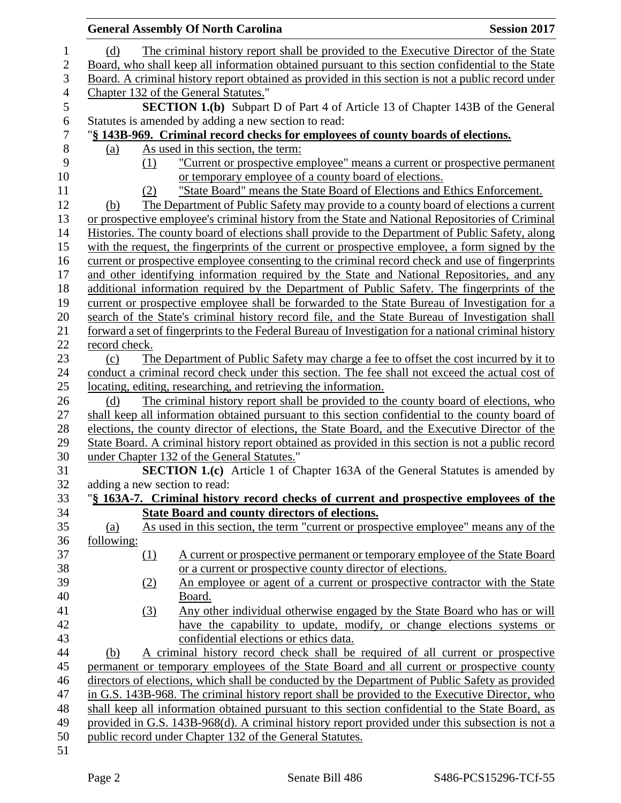| <b>General Assembly Of North Carolina</b><br><b>Session 2017</b> |                               |                                                                                                      |  |
|------------------------------------------------------------------|-------------------------------|------------------------------------------------------------------------------------------------------|--|
|                                                                  | (d)                           | The criminal history report shall be provided to the Executive Director of the State                 |  |
|                                                                  |                               | Board, who shall keep all information obtained pursuant to this section confidential to the State    |  |
|                                                                  |                               | Board. A criminal history report obtained as provided in this section is not a public record under   |  |
|                                                                  |                               | Chapter 132 of the General Statutes."                                                                |  |
|                                                                  |                               | <b>SECTION 1.(b)</b> Subpart D of Part 4 of Article 13 of Chapter 143B of the General                |  |
|                                                                  |                               | Statutes is amended by adding a new section to read:                                                 |  |
|                                                                  |                               | "§ 143B-969. Criminal record checks for employees of county boards of elections.                     |  |
|                                                                  | (a)                           | As used in this section, the term:                                                                   |  |
|                                                                  | (1)                           | "Current or prospective employee" means a current or prospective permanent                           |  |
|                                                                  |                               | or temporary employee of a county board of elections.                                                |  |
|                                                                  | (2)                           | "State Board" means the State Board of Elections and Ethics Enforcement.                             |  |
|                                                                  | (b)                           | The Department of Public Safety may provide to a county board of elections a current                 |  |
|                                                                  |                               | or prospective employee's criminal history from the State and National Repositories of Criminal      |  |
|                                                                  |                               | Histories. The county board of elections shall provide to the Department of Public Safety, along     |  |
|                                                                  |                               | with the request, the fingerprints of the current or prospective employee, a form signed by the      |  |
|                                                                  |                               | current or prospective employee consenting to the criminal record check and use of fingerprints      |  |
|                                                                  |                               | and other identifying information required by the State and National Repositories, and any           |  |
|                                                                  |                               | additional information required by the Department of Public Safety. The fingerprints of the          |  |
|                                                                  |                               | current or prospective employee shall be forwarded to the State Bureau of Investigation for a        |  |
|                                                                  |                               | search of the State's criminal history record file, and the State Bureau of Investigation shall      |  |
|                                                                  |                               | forward a set of fingerprints to the Federal Bureau of Investigation for a national criminal history |  |
|                                                                  | record check.                 |                                                                                                      |  |
|                                                                  | (c)                           | The Department of Public Safety may charge a fee to offset the cost incurred by it to                |  |
|                                                                  |                               | conduct a criminal record check under this section. The fee shall not exceed the actual cost of      |  |
|                                                                  |                               | locating, editing, researching, and retrieving the information.                                      |  |
|                                                                  | (d)                           | The criminal history report shall be provided to the county board of elections, who                  |  |
|                                                                  |                               | shall keep all information obtained pursuant to this section confidential to the county board of     |  |
|                                                                  |                               | elections, the county director of elections, the State Board, and the Executive Director of the      |  |
|                                                                  |                               | State Board. A criminal history report obtained as provided in this section is not a public record   |  |
|                                                                  |                               | under Chapter 132 of the General Statutes."                                                          |  |
|                                                                  |                               | <b>SECTION 1.(c)</b> Article 1 of Chapter 163A of the General Statutes is amended by                 |  |
|                                                                  | adding a new section to read: |                                                                                                      |  |
|                                                                  |                               | "§ 163A-7. Criminal history record checks of current and prospective employees of the                |  |
|                                                                  |                               | <b>State Board and county directors of elections.</b>                                                |  |
|                                                                  | (a)                           | As used in this section, the term "current or prospective employee" means any of the                 |  |
|                                                                  | following:                    |                                                                                                      |  |
|                                                                  | $\Omega$                      | A current or prospective permanent or temporary employee of the State Board                          |  |
|                                                                  |                               | or a current or prospective county director of elections.                                            |  |
|                                                                  | (2)                           | An employee or agent of a current or prospective contractor with the State                           |  |
|                                                                  |                               | Board.                                                                                               |  |
|                                                                  | (3)                           | Any other individual otherwise engaged by the State Board who has or will                            |  |
|                                                                  |                               | have the capability to update, modify, or change elections systems or                                |  |
|                                                                  |                               | confidential elections or ethics data.                                                               |  |
|                                                                  | (b)                           | A criminal history record check shall be required of all current or prospective                      |  |
|                                                                  |                               | permanent or temporary employees of the State Board and all current or prospective county            |  |
|                                                                  |                               | directors of elections, which shall be conducted by the Department of Public Safety as provided      |  |
|                                                                  |                               | in G.S. 143B-968. The criminal history report shall be provided to the Executive Director, who       |  |
|                                                                  |                               | shall keep all information obtained pursuant to this section confidential to the State Board, as     |  |
|                                                                  |                               | provided in G.S. 143B-968(d). A criminal history report provided under this subsection is not a      |  |
|                                                                  |                               | public record under Chapter 132 of the General Statutes.                                             |  |
|                                                                  |                               |                                                                                                      |  |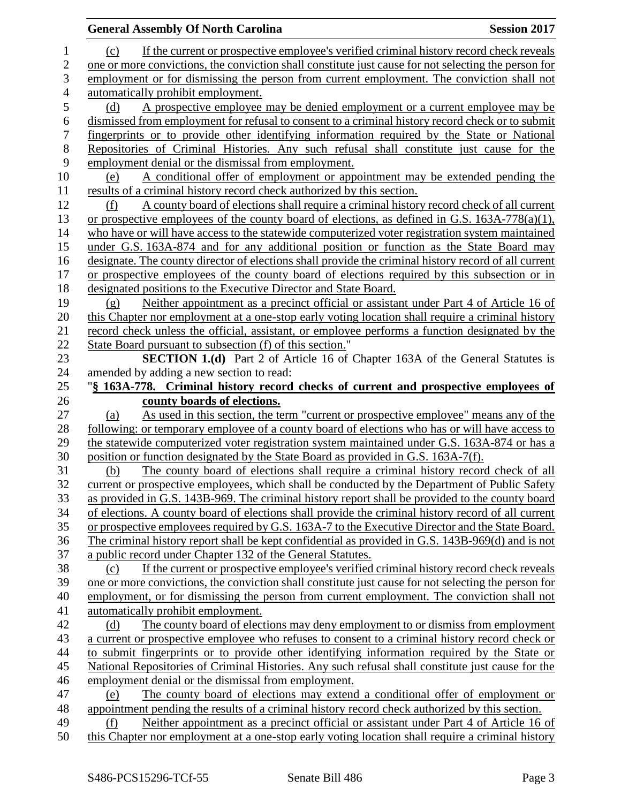| If the current or prospective employee's verified criminal history record check reveals<br>$\mathbf{1}$<br>(c)<br>$\overline{2}$<br>one or more convictions, the conviction shall constitute just cause for not selecting the person for<br>3<br>employment or for dismissing the person from current employment. The conviction shall not<br>$\overline{4}$<br>automatically prohibit employment. |  |
|----------------------------------------------------------------------------------------------------------------------------------------------------------------------------------------------------------------------------------------------------------------------------------------------------------------------------------------------------------------------------------------------------|--|
|                                                                                                                                                                                                                                                                                                                                                                                                    |  |
|                                                                                                                                                                                                                                                                                                                                                                                                    |  |
|                                                                                                                                                                                                                                                                                                                                                                                                    |  |
|                                                                                                                                                                                                                                                                                                                                                                                                    |  |
| 5<br>A prospective employee may be denied employment or a current employee may be<br>(d)                                                                                                                                                                                                                                                                                                           |  |
| 6<br>dismissed from employment for refusal to consent to a criminal history record check or to submit                                                                                                                                                                                                                                                                                              |  |
| $\boldsymbol{7}$<br>fingerprints or to provide other identifying information required by the State or National                                                                                                                                                                                                                                                                                     |  |
| $8\,$<br>Repositories of Criminal Histories. Any such refusal shall constitute just cause for the                                                                                                                                                                                                                                                                                                  |  |
| 9<br>employment denial or the dismissal from employment.                                                                                                                                                                                                                                                                                                                                           |  |
| 10<br>A conditional offer of employment or appointment may be extended pending the<br>(e)                                                                                                                                                                                                                                                                                                          |  |
| 11<br>results of a criminal history record check authorized by this section.                                                                                                                                                                                                                                                                                                                       |  |
| 12<br>A county board of elections shall require a criminal history record check of all current<br>(f)                                                                                                                                                                                                                                                                                              |  |
| 13<br>or prospective employees of the county board of elections, as defined in G.S. $163A-778(a)(1)$ ,                                                                                                                                                                                                                                                                                             |  |
| 14<br>who have or will have access to the statewide computerized voter registration system maintained                                                                                                                                                                                                                                                                                              |  |
| 15<br>under G.S. 163A-874 and for any additional position or function as the State Board may                                                                                                                                                                                                                                                                                                       |  |
| 16<br>designate. The county director of elections shall provide the criminal history record of all current                                                                                                                                                                                                                                                                                         |  |
| or prospective employees of the county board of elections required by this subsection or in<br>17                                                                                                                                                                                                                                                                                                  |  |
| 18<br>designated positions to the Executive Director and State Board.                                                                                                                                                                                                                                                                                                                              |  |
| 19<br>Neither appointment as a precinct official or assistant under Part 4 of Article 16 of<br>(g)                                                                                                                                                                                                                                                                                                 |  |
| 20<br>this Chapter nor employment at a one-stop early voting location shall require a criminal history                                                                                                                                                                                                                                                                                             |  |
| 21<br>record check unless the official, assistant, or employee performs a function designated by the                                                                                                                                                                                                                                                                                               |  |
| 22<br>State Board pursuant to subsection (f) of this section."                                                                                                                                                                                                                                                                                                                                     |  |
| 23<br>SECTION 1.(d) Part 2 of Article 16 of Chapter 163A of the General Statutes is                                                                                                                                                                                                                                                                                                                |  |
| 24<br>amended by adding a new section to read:                                                                                                                                                                                                                                                                                                                                                     |  |
| 25<br>"§ 163A-778. Criminal history record checks of current and prospective employees of                                                                                                                                                                                                                                                                                                          |  |
| 26<br>county boards of elections.                                                                                                                                                                                                                                                                                                                                                                  |  |
| 27<br>As used in this section, the term "current or prospective employee" means any of the<br>(a)                                                                                                                                                                                                                                                                                                  |  |
| following: or temporary employee of a county board of elections who has or will have access to<br>28                                                                                                                                                                                                                                                                                               |  |
| 29<br>the statewide computerized voter registration system maintained under G.S. 163A-874 or has a                                                                                                                                                                                                                                                                                                 |  |
| 30<br>position or function designated by the State Board as provided in G.S. 163A-7(f).                                                                                                                                                                                                                                                                                                            |  |
| The county board of elections shall require a criminal history record check of all<br>31<br>(b)                                                                                                                                                                                                                                                                                                    |  |
| 32<br>current or prospective employees, which shall be conducted by the Department of Public Safety                                                                                                                                                                                                                                                                                                |  |
| 33<br>as provided in G.S. 143B-969. The criminal history report shall be provided to the county board                                                                                                                                                                                                                                                                                              |  |
| 34<br>of elections. A county board of elections shall provide the criminal history record of all current                                                                                                                                                                                                                                                                                           |  |
| 35<br>or prospective employees required by G.S. 163A-7 to the Executive Director and the State Board.                                                                                                                                                                                                                                                                                              |  |
| The criminal history report shall be kept confidential as provided in G.S. 143B-969(d) and is not<br>36                                                                                                                                                                                                                                                                                            |  |
| 37<br>a public record under Chapter 132 of the General Statutes.                                                                                                                                                                                                                                                                                                                                   |  |
| 38<br>If the current or prospective employee's verified criminal history record check reveals<br>(c)                                                                                                                                                                                                                                                                                               |  |
| 39<br>one or more convictions, the conviction shall constitute just cause for not selecting the person for                                                                                                                                                                                                                                                                                         |  |
| 40<br>employment, or for dismissing the person from current employment. The conviction shall not                                                                                                                                                                                                                                                                                                   |  |
| 41<br>automatically prohibit employment.                                                                                                                                                                                                                                                                                                                                                           |  |
| 42<br>The county board of elections may deny employment to or dismiss from employment<br>(d)                                                                                                                                                                                                                                                                                                       |  |
| 43<br>a current or prospective employee who refuses to consent to a criminal history record check or<br>44                                                                                                                                                                                                                                                                                         |  |
| to submit fingerprints or to provide other identifying information required by the State or<br>45<br>National Repositories of Criminal Histories. Any such refusal shall constitute just cause for the                                                                                                                                                                                             |  |
| 46                                                                                                                                                                                                                                                                                                                                                                                                 |  |
| employment denial or the dismissal from employment.<br>The county board of elections may extend a conditional offer of employment or<br>47<br>(e)                                                                                                                                                                                                                                                  |  |
| 48<br>appointment pending the results of a criminal history record check authorized by this section.                                                                                                                                                                                                                                                                                               |  |
| 49<br>Neither appointment as a precinct official or assistant under Part 4 of Article 16 of<br>(f)                                                                                                                                                                                                                                                                                                 |  |
| 50<br>this Chapter nor employment at a one-stop early voting location shall require a criminal history                                                                                                                                                                                                                                                                                             |  |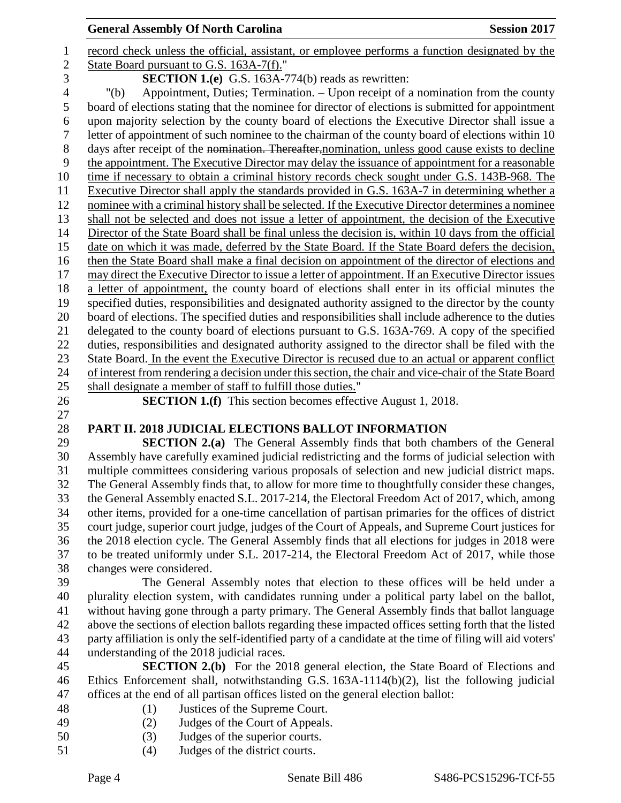#### **General Assembly Of North Carolina Session 2017**

 record check unless the official, assistant, or employee performs a function designated by the State Board pursuant to G.S. 163A-7(f)." **SECTION 1.(e)** G.S. 163A-774(b) reads as rewritten: "(b) Appointment, Duties; Termination. – Upon receipt of a nomination from the county board of elections stating that the nominee for director of elections is submitted for appointment upon majority selection by the county board of elections the Executive Director shall issue a letter of appointment of such nominee to the chairman of the county board of elections within 10 8 days after receipt of the nomination. Thereafter, nomination, unless good cause exists to decline the appointment. The Executive Director may delay the issuance of appointment for a reasonable 10 time if necessary to obtain a criminal history records check sought under G.S. 143B-968. The Executive Director shall apply the standards provided in G.S. 163A-7 in determining whether a nominee with a criminal history shall be selected. If the Executive Director determines a nominee shall not be selected and does not issue a letter of appointment, the decision of the Executive Director of the State Board shall be final unless the decision is, within 10 days from the official date on which it was made, deferred by the State Board. If the State Board defers the decision, then the State Board shall make a final decision on appointment of the director of elections and may direct the Executive Director to issue a letter of appointment. If an Executive Director issues a letter of appointment, the county board of elections shall enter in its official minutes the specified duties, responsibilities and designated authority assigned to the director by the county board of elections. The specified duties and responsibilities shall include adherence to the duties delegated to the county board of elections pursuant to G.S. 163A-769. A copy of the specified duties, responsibilities and designated authority assigned to the director shall be filed with the State Board. In the event the Executive Director is recused due to an actual or apparent conflict of interest from rendering a decision under this section, the chair and vice-chair of the State Board shall designate a member of staff to fulfill those duties." **SECTION 1.(f)** This section becomes effective August 1, 2018. **PART II. 2018 JUDICIAL ELECTIONS BALLOT INFORMATION SECTION 2.(a)** The General Assembly finds that both chambers of the General Assembly have carefully examined judicial redistricting and the forms of judicial selection with multiple committees considering various proposals of selection and new judicial district maps. The General Assembly finds that, to allow for more time to thoughtfully consider these changes, the General Assembly enacted S.L. 2017-214, the Electoral Freedom Act of 2017, which, among other items, provided for a one-time cancellation of partisan primaries for the offices of district court judge, superior court judge, judges of the Court of Appeals, and Supreme Court justices for the 2018 election cycle. The General Assembly finds that all elections for judges in 2018 were to be treated uniformly under S.L. 2017-214, the Electoral Freedom Act of 2017, while those changes were considered. The General Assembly notes that election to these offices will be held under a plurality election system, with candidates running under a political party label on the ballot, without having gone through a party primary. The General Assembly finds that ballot language above the sections of election ballots regarding these impacted offices setting forth that the listed party affiliation is only the self-identified party of a candidate at the time of filing will aid voters' understanding of the 2018 judicial races. **SECTION 2.(b)** For the 2018 general election, the State Board of Elections and Ethics Enforcement shall, notwithstanding G.S. 163A-1114(b)(2), list the following judicial offices at the end of all partisan offices listed on the general election ballot: (1) Justices of the Supreme Court. (2) Judges of the Court of Appeals. (3) Judges of the superior courts. (4) Judges of the district courts.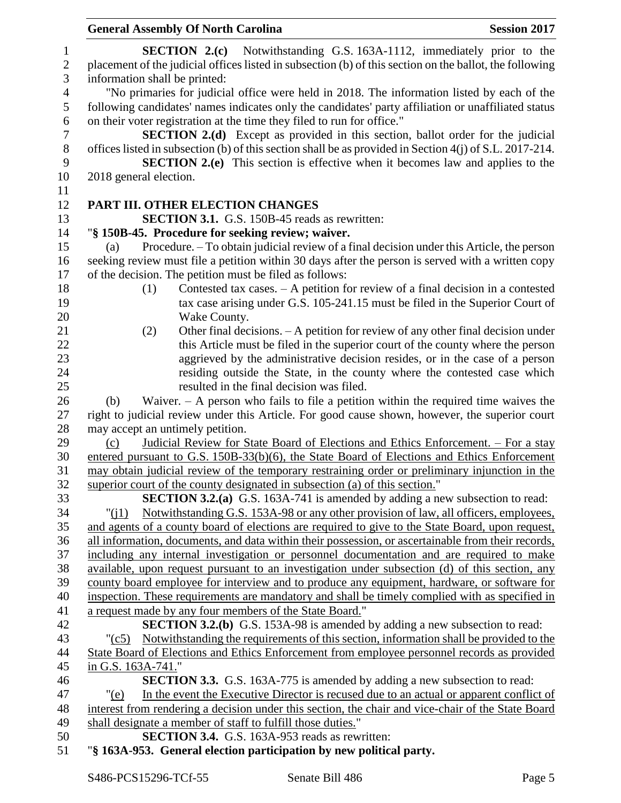|                  | <b>General Assembly Of North Carolina</b>                                                                       | <b>Session 2017</b> |
|------------------|-----------------------------------------------------------------------------------------------------------------|---------------------|
| $\mathbf{1}$     | <b>SECTION 2.(c)</b> Notwithstanding G.S. 163A-1112, immediately prior to the                                   |                     |
| $\mathbf{2}$     | placement of the judicial offices listed in subsection (b) of this section on the ballot, the following         |                     |
| 3                | information shall be printed:                                                                                   |                     |
| $\overline{4}$   | "No primaries for judicial office were held in 2018. The information listed by each of the                      |                     |
| 5                | following candidates' names indicates only the candidates' party affiliation or unaffiliated status             |                     |
| 6                | on their voter registration at the time they filed to run for office."                                          |                     |
| $\boldsymbol{7}$ | <b>SECTION 2.(d)</b> Except as provided in this section, ballot order for the judicial                          |                     |
|                  | offices listed in subsection (b) of this section shall be as provided in Section 4(j) of S.L. 2017-214.         |                     |
|                  |                                                                                                                 |                     |
|                  | <b>SECTION 2.(e)</b> This section is effective when it becomes law and applies to the<br>2018 general election. |                     |
|                  |                                                                                                                 |                     |
|                  | PART III. OTHER ELECTION CHANGES                                                                                |                     |
|                  | <b>SECTION 3.1.</b> G.S. 150B-45 reads as rewritten:                                                            |                     |
|                  | "§ 150B-45. Procedure for seeking review; waiver.                                                               |                     |
|                  | Procedure. – To obtain judicial review of a final decision under this Article, the person<br>(a)                |                     |
|                  | seeking review must file a petition within 30 days after the person is served with a written copy               |                     |
|                  | of the decision. The petition must be filed as follows:                                                         |                     |
|                  | Contested tax cases. $- A$ petition for review of a final decision in a contested<br>(1)                        |                     |
|                  | tax case arising under G.S. 105-241.15 must be filed in the Superior Court of                                   |                     |
|                  | Wake County.                                                                                                    |                     |
|                  | Other final decisions. $- A$ petition for review of any other final decision under<br>(2)                       |                     |
|                  | this Article must be filed in the superior court of the county where the person                                 |                     |
|                  | aggrieved by the administrative decision resides, or in the case of a person                                    |                     |
|                  | residing outside the State, in the county where the contested case which                                        |                     |
|                  | resulted in the final decision was filed.                                                                       |                     |
|                  | Waiver. $-$ A person who fails to file a petition within the required time waives the<br>(b)                    |                     |
|                  | right to judicial review under this Article. For good cause shown, however, the superior court                  |                     |
|                  | may accept an untimely petition.                                                                                |                     |
|                  | Judicial Review for State Board of Elections and Ethics Enforcement. – For a stay<br>(c)                        |                     |
|                  | entered pursuant to G.S. 150B-33(b)(6), the State Board of Elections and Ethics Enforcement                     |                     |
|                  | may obtain judicial review of the temporary restraining order or preliminary injunction in the                  |                     |
|                  | superior court of the county designated in subsection (a) of this section."                                     |                     |
|                  | <b>SECTION 3.2.(a)</b> G.S. 163A-741 is amended by adding a new subsection to read:                             |                     |
|                  | Notwithstanding G.S. 153A-98 or any other provision of law, all officers, employees,<br>"( $1$ )                |                     |
|                  | and agents of a county board of elections are required to give to the State Board, upon request,                |                     |
|                  | all information, documents, and data within their possession, or ascertainable from their records,              |                     |
|                  | including any internal investigation or personnel documentation and are required to make                        |                     |
|                  | available, upon request pursuant to an investigation under subsection (d) of this section, any                  |                     |
|                  | county board employee for interview and to produce any equipment, hardware, or software for                     |                     |
|                  | inspection. These requirements are mandatory and shall be timely complied with as specified in                  |                     |
|                  | a request made by any four members of the State Board."                                                         |                     |
|                  | <b>SECTION 3.2.(b)</b> G.S. 153A-98 is amended by adding a new subsection to read:                              |                     |
|                  | Notwithstanding the requirements of this section, information shall be provided to the<br>$"({c}5)$             |                     |
|                  | State Board of Elections and Ethics Enforcement from employee personnel records as provided                     |                     |
|                  | in G.S. 163A-741."                                                                                              |                     |
|                  | <b>SECTION 3.3.</b> G.S. 163A-775 is amended by adding a new subsection to read:                                |                     |
|                  | In the event the Executive Director is recused due to an actual or apparent conflict of<br>" $(e)$              |                     |
|                  | interest from rendering a decision under this section, the chair and vice-chair of the State Board              |                     |
|                  | shall designate a member of staff to fulfill those duties."                                                     |                     |
|                  | <b>SECTION 3.4.</b> G.S. 163A-953 reads as rewritten:                                                           |                     |
|                  | "§ 163A-953. General election participation by new political party.                                             |                     |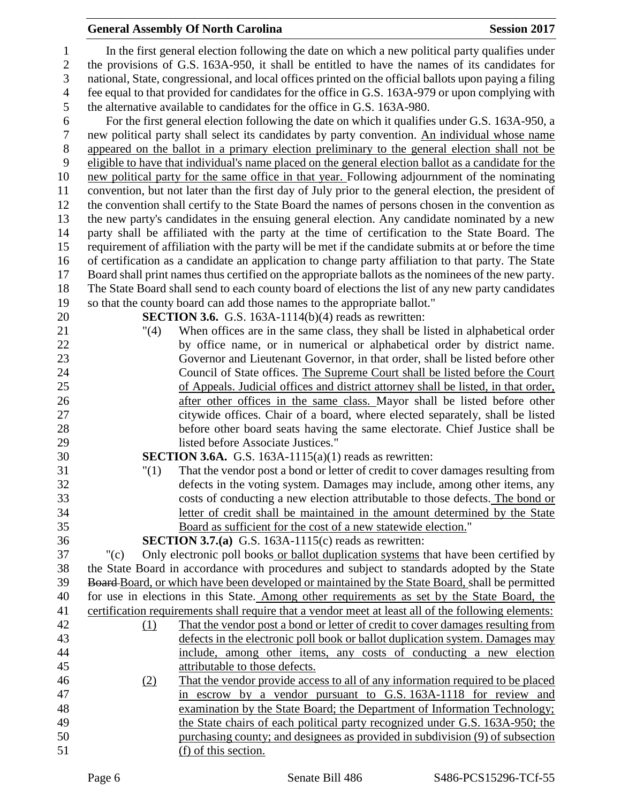## **General Assembly Of North Carolina Session 2017**

| 1              |         | In the first general election following the date on which a new political party qualifies under        |
|----------------|---------|--------------------------------------------------------------------------------------------------------|
| $\overline{2}$ |         | the provisions of G.S. 163A-950, it shall be entitled to have the names of its candidates for          |
| 3              |         | national, State, congressional, and local offices printed on the official ballots upon paying a filing |
| $\overline{4}$ |         | fee equal to that provided for candidates for the office in G.S. 163A-979 or upon complying with       |
| $\mathfrak{S}$ |         | the alternative available to candidates for the office in G.S. 163A-980.                               |
| 6              |         | For the first general election following the date on which it qualifies under G.S. 163A-950, a         |
| 7              |         | new political party shall select its candidates by party convention. An individual whose name          |
| $8\,$          |         | appeared on the ballot in a primary election preliminary to the general election shall not be          |
| 9              |         | eligible to have that individual's name placed on the general election ballot as a candidate for the   |
| 10             |         | new political party for the same office in that year. Following adjournment of the nominating          |
| 11             |         | convention, but not later than the first day of July prior to the general election, the president of   |
| 12             |         | the convention shall certify to the State Board the names of persons chosen in the convention as       |
| 13             |         | the new party's candidates in the ensuing general election. Any candidate nominated by a new           |
| 14             |         | party shall be affiliated with the party at the time of certification to the State Board. The          |
| 15             |         | requirement of affiliation with the party will be met if the candidate submits at or before the time   |
| 16             |         | of certification as a candidate an application to change party affiliation to that party. The State    |
| 17             |         | Board shall print names thus certified on the appropriate ballots as the nominees of the new party.    |
| 18             |         | The State Board shall send to each county board of elections the list of any new party candidates      |
| 19             |         | so that the county board can add those names to the appropriate ballot."                               |
| 20             |         | <b>SECTION 3.6.</b> G.S. 163A-1114(b)(4) reads as rewritten:                                           |
| 21             | "(4)    | When offices are in the same class, they shall be listed in alphabetical order                         |
| 22             |         | by office name, or in numerical or alphabetical order by district name.                                |
| 23             |         | Governor and Lieutenant Governor, in that order, shall be listed before other                          |
| 24             |         | Council of State offices. The Supreme Court shall be listed before the Court                           |
| 25             |         | of Appeals. Judicial offices and district attorney shall be listed, in that order,                     |
| 26             |         | after other offices in the same class. Mayor shall be listed before other                              |
| 27             |         | citywide offices. Chair of a board, where elected separately, shall be listed                          |
| 28             |         | before other board seats having the same electorate. Chief Justice shall be                            |
| 29             |         | listed before Associate Justices."                                                                     |
| 30             |         | <b>SECTION 3.6A.</b> G.S. 163A-1115(a)(1) reads as rewritten:                                          |
| 31             | "(1)    | That the vendor post a bond or letter of credit to cover damages resulting from                        |
| 32             |         | defects in the voting system. Damages may include, among other items, any                              |
| 33             |         | costs of conducting a new election attributable to those defects. The bond or                          |
| 34             |         | letter of credit shall be maintained in the amount determined by the State                             |
| 35             |         | Board as sufficient for the cost of a new statewide election."                                         |
| 36             |         | <b>SECTION 3.7.(a)</b> G.S. 163A-1115(c) reads as rewritten:                                           |
| 37             | " $(c)$ | Only electronic poll books or ballot duplication systems that have been certified by                   |
| 38             |         | the State Board in accordance with procedures and subject to standards adopted by the State            |
| 39             |         | Board-Board, or which have been developed or maintained by the State Board, shall be permitted         |
| 40             |         | for use in elections in this State. Among other requirements as set by the State Board, the            |
| 41<br>42       |         | certification requirements shall require that a vendor meet at least all of the following elements:    |
| 43             | (1)     | That the vendor post a bond or letter of credit to cover damages resulting from                        |
| 44             |         | defects in the electronic poll book or ballot duplication system. Damages may                          |
| 45             |         | include, among other items, any costs of conducting a new election<br>attributable to those defects.   |
| 46             | (2)     | That the vendor provide access to all of any information required to be placed                         |
| 47             |         | in escrow by a vendor pursuant to G.S. 163A-1118 for review and                                        |
| 48             |         | examination by the State Board; the Department of Information Technology;                              |
| 49             |         | the State chairs of each political party recognized under G.S. 163A-950; the                           |
| 50             |         | purchasing county; and designees as provided in subdivision (9) of subsection                          |
| 51             |         | (f) of this section.                                                                                   |
|                |         |                                                                                                        |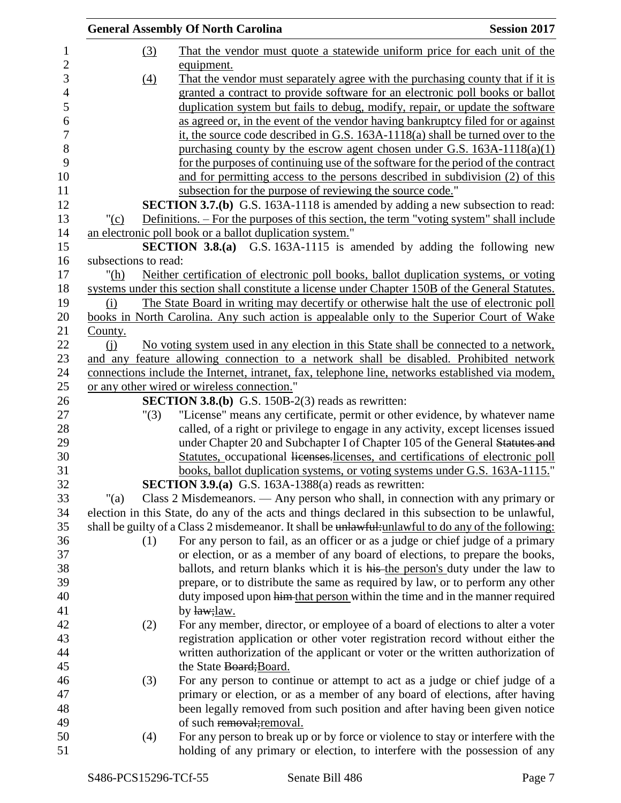|                      | <b>General Assembly Of North Carolina</b>                                                           | <b>Session 2017</b> |
|----------------------|-----------------------------------------------------------------------------------------------------|---------------------|
| (3)                  | That the vendor must quote a statewide uniform price for each unit of the                           |                     |
|                      | equipment.                                                                                          |                     |
| (4)                  | That the vendor must separately agree with the purchasing county that if it is                      |                     |
|                      | granted a contract to provide software for an electronic poll books or ballot                       |                     |
|                      | duplication system but fails to debug, modify, repair, or update the software                       |                     |
|                      | as agreed or, in the event of the vendor having bankruptcy filed for or against                     |                     |
|                      | it, the source code described in G.S. 163A-1118(a) shall be turned over to the                      |                     |
|                      | purchasing county by the escrow agent chosen under G.S. $163A-1118(a)(1)$                           |                     |
|                      | for the purposes of continuing use of the software for the period of the contract                   |                     |
|                      | and for permitting access to the persons described in subdivision (2) of this                       |                     |
|                      | subsection for the purpose of reviewing the source code."                                           |                     |
|                      | <b>SECTION 3.7.(b)</b> G.S. 163A-1118 is amended by adding a new subsection to read:                |                     |
| " $(c)$              | Definitions. – For the purposes of this section, the term "voting system" shall include             |                     |
|                      | an electronic poll book or a ballot duplication system."                                            |                     |
|                      | <b>SECTION 3.8.(a)</b> G.S. 163A-1115 is amended by adding the following new                        |                     |
| subsections to read: |                                                                                                     |                     |
| " $(h)$              | Neither certification of electronic poll books, ballot duplication systems, or voting               |                     |
|                      | systems under this section shall constitute a license under Chapter 150B of the General Statutes.   |                     |
| (i)                  | The State Board in writing may decertify or otherwise halt the use of electronic poll               |                     |
|                      | books in North Carolina. Any such action is appealable only to the Superior Court of Wake           |                     |
| County.              |                                                                                                     |                     |
| (i)                  | No voting system used in any election in this State shall be connected to a network,                |                     |
|                      | and any feature allowing connection to a network shall be disabled. Prohibited network              |                     |
|                      | connections include the Internet, intranet, fax, telephone line, networks established via modem,    |                     |
|                      | or any other wired or wireless connection."                                                         |                     |
|                      | <b>SECTION 3.8.(b)</b> G.S. 150B-2(3) reads as rewritten:                                           |                     |
| "(3)                 | "License" means any certificate, permit or other evidence, by whatever name                         |                     |
|                      | called, of a right or privilege to engage in any activity, except licenses issued                   |                     |
|                      | under Chapter 20 and Subchapter I of Chapter 105 of the General Statutes and                        |                     |
|                      | Statutes, occupational licenses, licenses, and certifications of electronic poll                    |                     |
|                      | books, ballot duplication systems, or voting systems under G.S. 163A-1115."                         |                     |
|                      | <b>SECTION 3.9.(a)</b> G.S. 163A-1388(a) reads as rewritten:                                        |                     |
| " $(a)$              | Class 2 Misdemeanors. — Any person who shall, in connection with any primary or                     |                     |
|                      | election in this State, do any of the acts and things declared in this subsection to be unlawful,   |                     |
|                      | shall be guilty of a Class 2 misdemeanor. It shall be unlawful-unlawful to do any of the following: |                     |
| (1)                  | For any person to fail, as an officer or as a judge or chief judge of a primary                     |                     |
|                      | or election, or as a member of any board of elections, to prepare the books,                        |                     |
|                      | ballots, and return blanks which it is his the person's duty under the law to                       |                     |
|                      | prepare, or to distribute the same as required by law, or to perform any other                      |                     |
|                      | duty imposed upon him that person within the time and in the manner required                        |                     |
|                      | by law; law.                                                                                        |                     |
| (2)                  | For any member, director, or employee of a board of elections to alter a voter                      |                     |
|                      | registration application or other voter registration record without either the                      |                     |
|                      | written authorization of the applicant or voter or the written authorization of                     |                     |
|                      | the State Board; Board.                                                                             |                     |
| (3)                  | For any person to continue or attempt to act as a judge or chief judge of a                         |                     |
|                      | primary or election, or as a member of any board of elections, after having                         |                     |
|                      | been legally removed from such position and after having been given notice                          |                     |
|                      | of such removal; removal.                                                                           |                     |
| (4)                  | For any person to break up or by force or violence to stay or interfere with the                    |                     |
|                      | holding of any primary or election, to interfere with the possession of any                         |                     |
|                      |                                                                                                     |                     |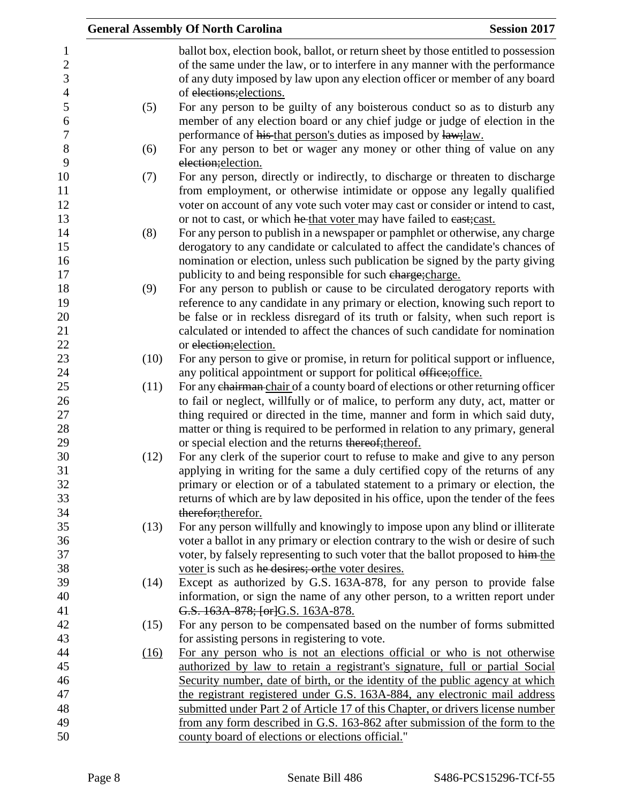|      | <b>General Assembly Of North Carolina</b>                                                                                                                                                                                                                                                                                                                | <b>Session 2017</b> |
|------|----------------------------------------------------------------------------------------------------------------------------------------------------------------------------------------------------------------------------------------------------------------------------------------------------------------------------------------------------------|---------------------|
|      | ballot box, election book, ballot, or return sheet by those entitled to possession<br>of the same under the law, or to interfere in any manner with the performance<br>of any duty imposed by law upon any election officer or member of any board<br>of elections; elections.                                                                           |                     |
| (5)  | For any person to be guilty of any boisterous conduct so as to disturb any<br>member of any election board or any chief judge or judge of election in the<br>performance of his that person's duties as imposed by law; law.                                                                                                                             |                     |
| (6)  | For any person to bet or wager any money or other thing of value on any<br>election; election.                                                                                                                                                                                                                                                           |                     |
| (7)  | For any person, directly or indirectly, to discharge or threaten to discharge<br>from employment, or otherwise intimidate or oppose any legally qualified<br>voter on account of any vote such voter may cast or consider or intend to cast,<br>or not to cast, or which he that voter may have failed to east;cast.                                     |                     |
| (8)  | For any person to publish in a newspaper or pamphlet or otherwise, any charge<br>derogatory to any candidate or calculated to affect the candidate's chances of<br>nomination or election, unless such publication be signed by the party giving<br>publicity to and being responsible for such charge; charge.                                          |                     |
| (9)  | For any person to publish or cause to be circulated derogatory reports with<br>reference to any candidate in any primary or election, knowing such report to<br>be false or in reckless disregard of its truth or falsity, when such report is<br>calculated or intended to affect the chances of such candidate for nomination                          |                     |
|      | or election; election.                                                                                                                                                                                                                                                                                                                                   |                     |
| (10) | For any person to give or promise, in return for political support or influence,<br>any political appointment or support for political office; office.                                                                                                                                                                                                   |                     |
| (11) | For any chairman-chair of a county board of elections or other returning officer<br>to fail or neglect, willfully or of malice, to perform any duty, act, matter or<br>thing required or directed in the time, manner and form in which said duty,                                                                                                       |                     |
|      | matter or thing is required to be performed in relation to any primary, general<br>or special election and the returns thereof; thereof.                                                                                                                                                                                                                 |                     |
| (12) | For any clerk of the superior court to refuse to make and give to any person<br>applying in writing for the same a duly certified copy of the returns of any<br>primary or election or of a tabulated statement to a primary or election, the<br>returns of which are by law deposited in his office, upon the tender of the fees<br>therefor; therefor. |                     |
| (13) | For any person willfully and knowingly to impose upon any blind or illiterate<br>voter a ballot in any primary or election contrary to the wish or desire of such<br>voter, by falsely representing to such voter that the ballot proposed to him-the                                                                                                    |                     |
| (14) | voter is such as he desires; orthe voter desires.<br>Except as authorized by G.S. 163A-878, for any person to provide false<br>information, or sign the name of any other person, to a written report under                                                                                                                                              |                     |
| (15) | G.S. 163A-878; [or]G.S. 163A-878.<br>For any person to be compensated based on the number of forms submitted                                                                                                                                                                                                                                             |                     |
| (16) | for assisting persons in registering to vote.<br>For any person who is not an elections official or who is not otherwise<br>authorized by law to retain a registrant's signature, full or partial Social                                                                                                                                                 |                     |
|      | Security number, date of birth, or the identity of the public agency at which<br>the registrant registered under G.S. 163A-884, any electronic mail address                                                                                                                                                                                              |                     |
|      | submitted under Part 2 of Article 17 of this Chapter, or drivers license number<br>from any form described in G.S. 163-862 after submission of the form to the                                                                                                                                                                                           |                     |
|      | county board of elections or elections official."                                                                                                                                                                                                                                                                                                        |                     |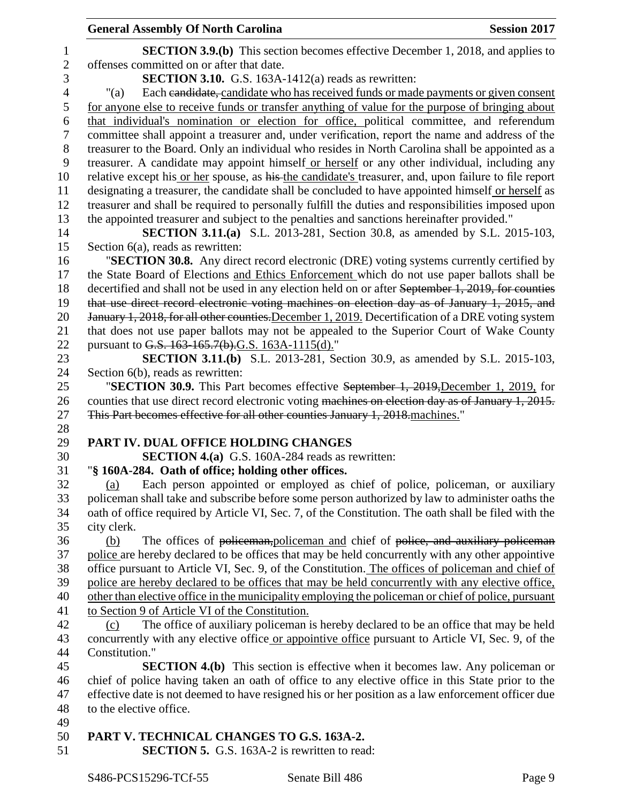|                | <b>General Assembly Of North Carolina</b><br><b>Session 2017</b>                                      |  |
|----------------|-------------------------------------------------------------------------------------------------------|--|
| 1              | <b>SECTION 3.9.(b)</b> This section becomes effective December 1, 2018, and applies to                |  |
| $\mathbf{2}$   | offenses committed on or after that date.                                                             |  |
| 3              | SECTION 3.10. G.S. 163A-1412(a) reads as rewritten:                                                   |  |
| $\overline{4}$ | Each eandidate, candidate who has received funds or made payments or given consent<br>" $(a)$         |  |
| 5              | for anyone else to receive funds or transfer anything of value for the purpose of bringing about      |  |
| 6              | that individual's nomination or election for office, political committee, and referendum              |  |
| 7              | committee shall appoint a treasurer and, under verification, report the name and address of the       |  |
| 8              | treasurer to the Board. Only an individual who resides in North Carolina shall be appointed as a      |  |
| 9              | treasurer. A candidate may appoint himself or herself or any other individual, including any          |  |
| 10             | relative except his or her spouse, as his the candidate's treasurer, and, upon failure to file report |  |
| 11             | designating a treasurer, the candidate shall be concluded to have appointed himself or herself as     |  |
| 12             | treasurer and shall be required to personally fulfill the duties and responsibilities imposed upon    |  |
| 13             | the appointed treasurer and subject to the penalties and sanctions hereinafter provided."             |  |
| 14             | <b>SECTION 3.11.(a)</b> S.L. 2013-281, Section 30.8, as amended by S.L. 2015-103,                     |  |
| 15             | Section $6(a)$ , reads as rewritten:                                                                  |  |
| 16             | "SECTION 30.8. Any direct record electronic (DRE) voting systems currently certified by               |  |
| 17             | the State Board of Elections and Ethics Enforcement which do not use paper ballots shall be           |  |
| 18             | decertified and shall not be used in any election held on or after September 1, 2019, for counties    |  |
| 19             | that use direct record electronic voting machines on election day as of January 1, 2015, and          |  |
| 20             | January 1, 2018, for all other counties. December 1, 2019. Decertification of a DRE voting system     |  |
| 21             | that does not use paper ballots may not be appealed to the Superior Court of Wake County              |  |
| 22             | pursuant to G.S. 163-165.7(b).G.S. 163A-1115(d)."                                                     |  |
| 23             | <b>SECTION 3.11.(b)</b> S.L. 2013-281, Section 30.9, as amended by S.L. 2015-103,                     |  |
| 24             | Section 6(b), reads as rewritten:                                                                     |  |
| 25             | "SECTION 30.9. This Part becomes effective September 1, 2019, December 1, 2019, for                   |  |
| 26             | counties that use direct record electronic voting machines on election day as of January 1, 2015.     |  |
| 27             | This Part becomes effective for all other counties January 1, 2018 machines."                         |  |
| 28<br>29       | PART IV. DUAL OFFICE HOLDING CHANGES                                                                  |  |
| 30             | <b>SECTION 4.(a)</b> G.S. 160A-284 reads as rewritten:                                                |  |
| 31             | "§ 160A-284. Oath of office; holding other offices.                                                   |  |
| 32             | Each person appointed or employed as chief of police, policeman, or auxiliary<br>(a)                  |  |
| 33             | policeman shall take and subscribe before some person authorized by law to administer oaths the       |  |
| 34             | oath of office required by Article VI, Sec. 7, of the Constitution. The oath shall be filed with the  |  |
| 35             | city clerk.                                                                                           |  |
| 36             | The offices of policeman, policeman and chief of police, and auxiliary policeman<br>(b)               |  |
| 37             | police are hereby declared to be offices that may be held concurrently with any other appointive      |  |
| 38             | office pursuant to Article VI, Sec. 9, of the Constitution. The offices of policeman and chief of     |  |
| 39             | police are hereby declared to be offices that may be held concurrently with any elective office,      |  |
| 40             | other than elective office in the municipality employing the policeman or chief of police, pursuant   |  |
| 41             | to Section 9 of Article VI of the Constitution.                                                       |  |
| 42             | The office of auxiliary policeman is hereby declared to be an office that may be held<br>(c)          |  |
| 43             | concurrently with any elective office or appointive office pursuant to Article VI, Sec. 9, of the     |  |
| 44             | Constitution."                                                                                        |  |
| 45             | <b>SECTION 4.(b)</b> This section is effective when it becomes law. Any policeman or                  |  |
| 46             | chief of police having taken an oath of office to any elective office in this State prior to the      |  |
| 47             | effective date is not deemed to have resigned his or her position as a law enforcement officer due    |  |
| 48             | to the elective office.                                                                               |  |
| 49             |                                                                                                       |  |
| 50             | PART V. TECHNICAL CHANGES TO G.S. 163A-2.                                                             |  |
| 51             | <b>SECTION 5.</b> G.S. 163A-2 is rewritten to read:                                                   |  |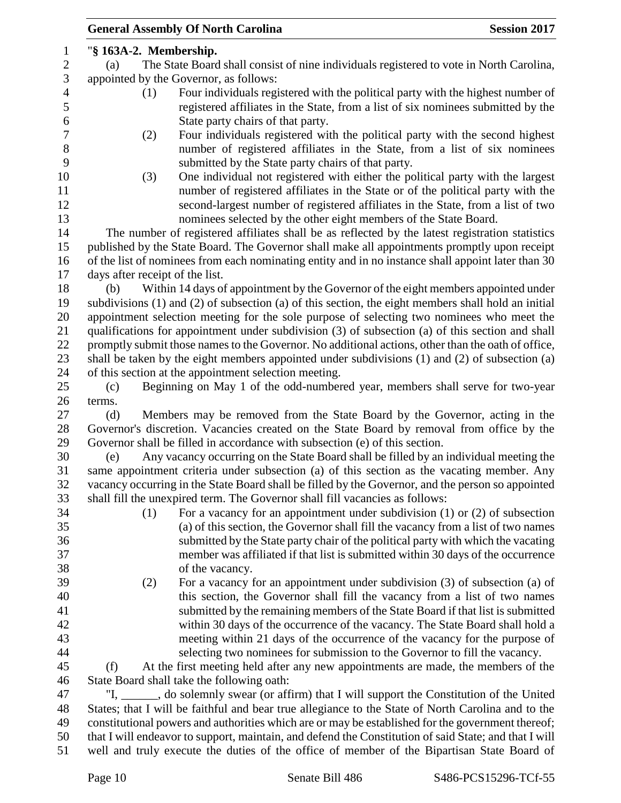| <b>General Assembly Of North Carolina</b><br><b>Session 2017</b>                                                                                                         |  |  |  |
|--------------------------------------------------------------------------------------------------------------------------------------------------------------------------|--|--|--|
| "§ 163A-2. Membership.                                                                                                                                                   |  |  |  |
| The State Board shall consist of nine individuals registered to vote in North Carolina,<br>(a)                                                                           |  |  |  |
| appointed by the Governor, as follows:                                                                                                                                   |  |  |  |
| Four individuals registered with the political party with the highest number of<br>(1)                                                                                   |  |  |  |
| registered affiliates in the State, from a list of six nominees submitted by the<br>State party chairs of that party.                                                    |  |  |  |
|                                                                                                                                                                          |  |  |  |
| Four individuals registered with the political party with the second highest<br>(2)<br>number of registered affiliates in the State, from a list of six nominees         |  |  |  |
| submitted by the State party chairs of that party.                                                                                                                       |  |  |  |
| One individual not registered with either the political party with the largest<br>(3)<br>number of registered affiliates in the State or of the political party with the |  |  |  |
| second-largest number of registered affiliates in the State, from a list of two                                                                                          |  |  |  |
| nominees selected by the other eight members of the State Board.                                                                                                         |  |  |  |
| The number of registered affiliates shall be as reflected by the latest registration statistics                                                                          |  |  |  |
| published by the State Board. The Governor shall make all appointments promptly upon receipt                                                                             |  |  |  |
| of the list of nominees from each nominating entity and in no instance shall appoint later than 30                                                                       |  |  |  |
| days after receipt of the list.                                                                                                                                          |  |  |  |
| Within 14 days of appointment by the Governor of the eight members appointed under<br>(b)                                                                                |  |  |  |
| subdivisions (1) and (2) of subsection (a) of this section, the eight members shall hold an initial                                                                      |  |  |  |
| appointment selection meeting for the sole purpose of selecting two nominees who meet the                                                                                |  |  |  |
| qualifications for appointment under subdivision (3) of subsection (a) of this section and shall                                                                         |  |  |  |
| promptly submit those names to the Governor. No additional actions, other than the oath of office,                                                                       |  |  |  |
| shall be taken by the eight members appointed under subdivisions (1) and (2) of subsection (a)                                                                           |  |  |  |
| of this section at the appointment selection meeting.                                                                                                                    |  |  |  |
| Beginning on May 1 of the odd-numbered year, members shall serve for two-year<br>(c)                                                                                     |  |  |  |
| terms.                                                                                                                                                                   |  |  |  |
| Members may be removed from the State Board by the Governor, acting in the<br>(d)                                                                                        |  |  |  |
| Governor's discretion. Vacancies created on the State Board by removal from office by the                                                                                |  |  |  |
| Governor shall be filled in accordance with subsection (e) of this section.                                                                                              |  |  |  |
| Any vacancy occurring on the State Board shall be filled by an individual meeting the<br>(e)                                                                             |  |  |  |
| same appointment criteria under subsection (a) of this section as the vacating member. Any                                                                               |  |  |  |
| vacancy occurring in the State Board shall be filled by the Governor, and the person so appointed                                                                        |  |  |  |
| shall fill the unexpired term. The Governor shall fill vacancies as follows:                                                                                             |  |  |  |
| For a vacancy for an appointment under subdivision $(1)$ or $(2)$ of subsection<br>(1)                                                                                   |  |  |  |
| (a) of this section, the Governor shall fill the vacancy from a list of two names                                                                                        |  |  |  |
| submitted by the State party chair of the political party with which the vacating                                                                                        |  |  |  |
| member was affiliated if that list is submitted within 30 days of the occurrence                                                                                         |  |  |  |
| of the vacancy.                                                                                                                                                          |  |  |  |
| For a vacancy for an appointment under subdivision (3) of subsection (a) of<br>(2)                                                                                       |  |  |  |
| this section, the Governor shall fill the vacancy from a list of two names                                                                                               |  |  |  |
| submitted by the remaining members of the State Board if that list is submitted                                                                                          |  |  |  |
| within 30 days of the occurrence of the vacancy. The State Board shall hold a                                                                                            |  |  |  |
| meeting within 21 days of the occurrence of the vacancy for the purpose of                                                                                               |  |  |  |
| selecting two nominees for submission to the Governor to fill the vacancy.                                                                                               |  |  |  |
| (f)<br>At the first meeting held after any new appointments are made, the members of the                                                                                 |  |  |  |
| State Board shall take the following oath:                                                                                                                               |  |  |  |
| "I, ______, do solemnly swear (or affirm) that I will support the Constitution of the United                                                                             |  |  |  |
| States; that I will be faithful and bear true allegiance to the State of North Carolina and to the                                                                       |  |  |  |
| constitutional powers and authorities which are or may be established for the government thereof;                                                                        |  |  |  |
| that I will endeavor to support, maintain, and defend the Constitution of said State; and that I will                                                                    |  |  |  |
| well and truly execute the duties of the office of member of the Bipartisan State Board of                                                                               |  |  |  |